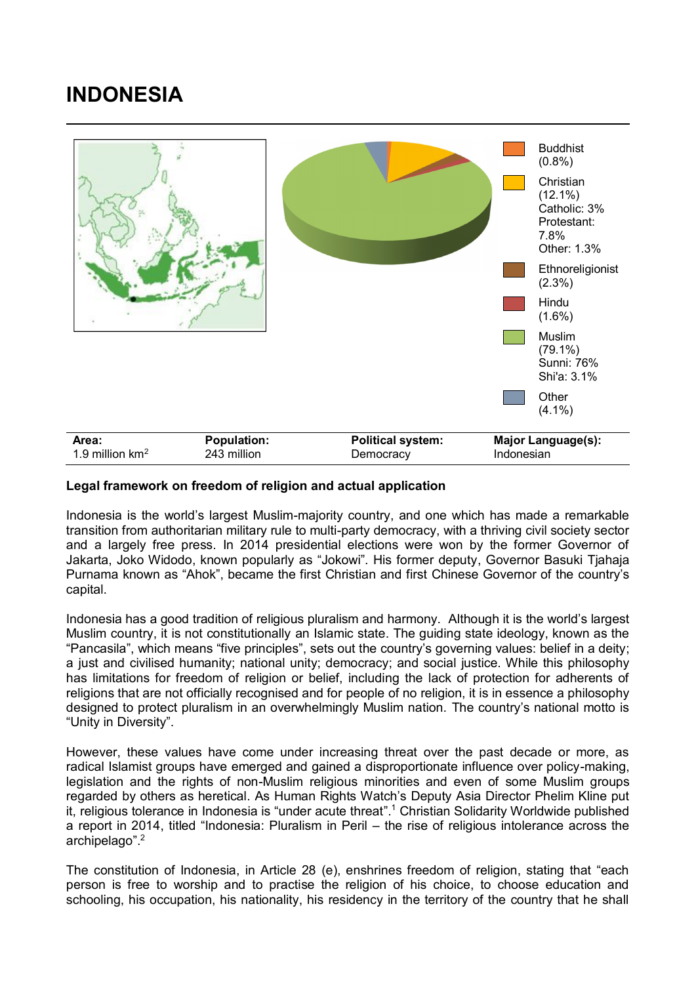## **INDONESIA**



## **Legal framework on freedom of religion and actual application**

Indonesia is the world's largest Muslim-majority country, and one which has made a remarkable transition from authoritarian military rule to multi-party democracy, with a thriving civil society sector and a largely free press. In 2014 presidential elections were won by the former Governor of Jakarta, Joko Widodo, known popularly as "Jokowi". His former deputy, Governor Basuki Tjahaja Purnama known as "Ahok", became the first Christian and first Chinese Governor of the country's capital.

Indonesia has a good tradition of religious pluralism and harmony. Although it is the world's largest Muslim country, it is not constitutionally an Islamic state. The guiding state ideology, known as the "Pancasila", which means "five principles", sets out the country's governing values: belief in a deity; a just and civilised humanity; national unity; democracy; and social justice. While this philosophy has limitations for freedom of religion or belief, including the lack of protection for adherents of religions that are not officially recognised and for people of no religion, it is in essence a philosophy designed to protect pluralism in an overwhelmingly Muslim nation. The country's national motto is "Unity in Diversity".

However, these values have come under increasing threat over the past decade or more, as radical Islamist groups have emerged and gained a disproportionate influence over policy-making, legislation and the rights of non-Muslim religious minorities and even of some Muslim groups regarded by others as heretical. As Human Rights Watch's Deputy Asia Director Phelim Kline put it, religious tolerance in Indonesia is "under acute threat".<sup>1</sup> Christian Solidarity Worldwide published a report in 2014, titled "Indonesia: Pluralism in Peril – the rise of religious intolerance across the archipelago". 2

The constitution of Indonesia, in Article 28 (e), enshrines freedom of religion, stating that "each person is free to worship and to practise the religion of his choice, to choose education and schooling, his occupation, his nationality, his residency in the territory of the country that he shall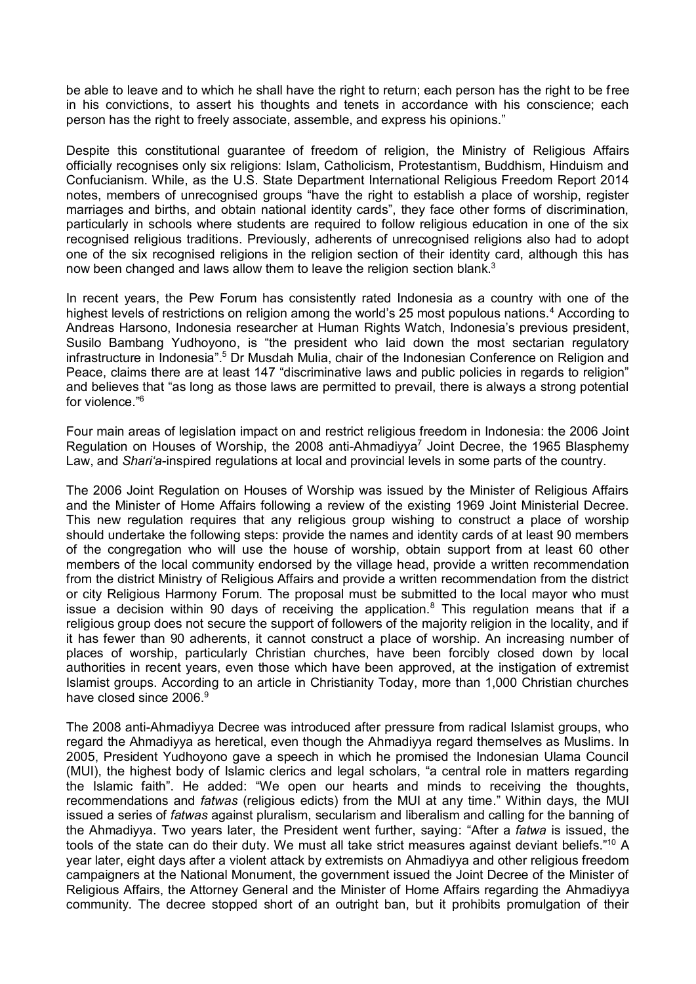be able to leave and to which he shall have the right to return; each person has the right to be free in his convictions, to assert his thoughts and tenets in accordance with his conscience; each person has the right to freely associate, assemble, and express his opinions."

Despite this constitutional guarantee of freedom of religion, the Ministry of Religious Affairs officially recognises only six religions: Islam, Catholicism, Protestantism, Buddhism, Hinduism and Confucianism. While, as the U.S. State Department International Religious Freedom Report 2014 notes, members of unrecognised groups "have the right to establish a place of worship, register marriages and births, and obtain national identity cards", they face other forms of discrimination, particularly in schools where students are required to follow religious education in one of the six recognised religious traditions. Previously, adherents of unrecognised religions also had to adopt one of the six recognised religions in the religion section of their identity card, although this has now been changed and laws allow them to leave the religion section blank.<sup>3</sup>

In recent years, the Pew Forum has consistently rated Indonesia as a country with one of the highest levels of restrictions on religion among the world's 25 most populous nations.<sup>4</sup> According to Andreas Harsono, Indonesia researcher at Human Rights Watch, Indonesia's previous president, Susilo Bambang Yudhoyono, is "the president who laid down the most sectarian regulatory infrastructure in Indonesia".<sup>5</sup> Dr Musdah Mulia, chair of the Indonesian Conference on Religion and Peace, claims there are at least 147 "discriminative laws and public policies in regards to religion" and believes that "as long as those laws are permitted to prevail, there is always a strong potential for violence."<sup>6</sup>

Four main areas of legislation impact on and restrict religious freedom in Indonesia: the 2006 Joint Regulation on Houses of Worship, the 2008 anti-Ahmadiyya<sup>7</sup> Joint Decree, the 1965 Blasphemy Law, and *Shari'a*-inspired regulations at local and provincial levels in some parts of the country.

The 2006 Joint Regulation on Houses of Worship was issued by the Minister of Religious Affairs and the Minister of Home Affairs following a review of the existing 1969 Joint Ministerial Decree. This new regulation requires that any religious group wishing to construct a place of worship should undertake the following steps: provide the names and identity cards of at least 90 members of the congregation who will use the house of worship, obtain support from at least 60 other members of the local community endorsed by the village head, provide a written recommendation from the district Ministry of Religious Affairs and provide a written recommendation from the district or city Religious Harmony Forum. The proposal must be submitted to the local mayor who must issue a decision within 90 days of receiving the application.<sup>8</sup> This regulation means that if a religious group does not secure the support of followers of the majority religion in the locality, and if it has fewer than 90 adherents, it cannot construct a place of worship. An increasing number of places of worship, particularly Christian churches, have been forcibly closed down by local authorities in recent years, even those which have been approved, at the instigation of extremist Islamist groups. According to an article in Christianity Today, more than 1,000 Christian churches have closed since 2006.<sup>9</sup>

The 2008 anti-Ahmadiyya Decree was introduced after pressure from radical Islamist groups, who regard the Ahmadiyya as heretical, even though the Ahmadiyya regard themselves as Muslims. In 2005, President Yudhoyono gave a speech in which he promised the Indonesian Ulama Council (MUI), the highest body of Islamic clerics and legal scholars, "a central role in matters regarding the Islamic faith". He added: "We open our hearts and minds to receiving the thoughts, recommendations and *fatwas* (religious edicts) from the MUI at any time." Within days, the MUI issued a series of *fatwas* against pluralism, secularism and liberalism and calling for the banning of the Ahmadiyya. Two years later, the President went further, saying: "After a *fatwa* is issued, the tools of the state can do their duty. We must all take strict measures against deviant beliefs."<sup>10</sup> A year later, eight days after a violent attack by extremists on Ahmadiyya and other religious freedom campaigners at the National Monument, the government issued the Joint Decree of the Minister of Religious Affairs, the Attorney General and the Minister of Home Affairs regarding the Ahmadiyya community. The decree stopped short of an outright ban, but it prohibits promulgation of their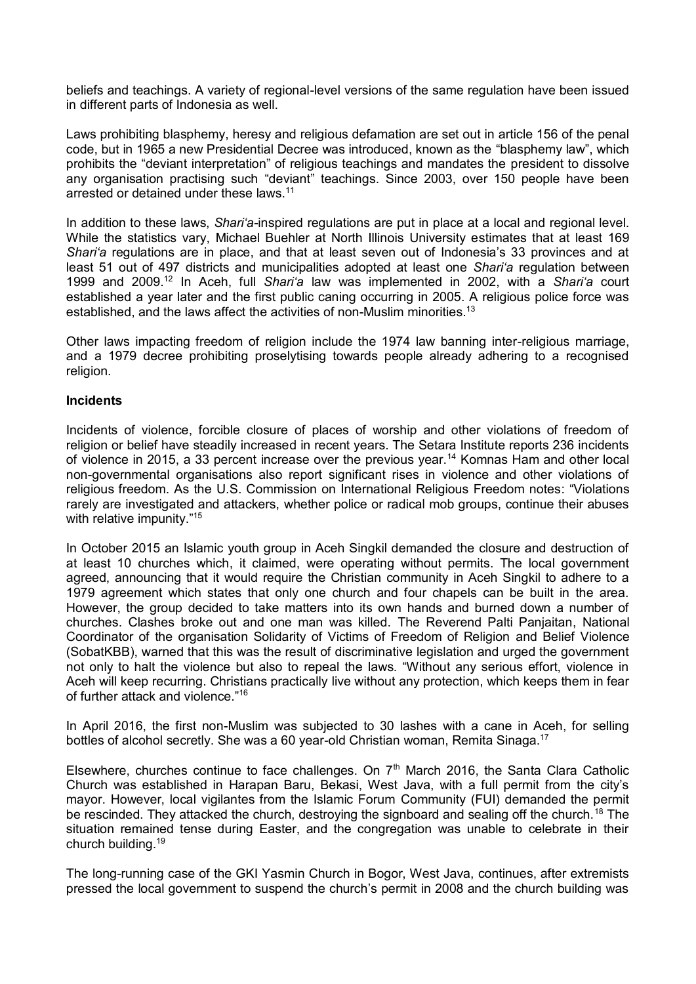beliefs and teachings. A variety of regional-level versions of the same regulation have been issued in different parts of Indonesia as well.

Laws prohibiting blasphemy, heresy and religious defamation are set out in article 156 of the penal code, but in 1965 a new Presidential Decree was introduced, known as the "blasphemy law", which prohibits the "deviant interpretation" of religious teachings and mandates the president to dissolve any organisation practising such "deviant" teachings. Since 2003, over 150 people have been arrested or detained under these laws.<sup>11</sup>

In addition to these laws, *Shari'a-*inspired regulations are put in place at a local and regional level. While the statistics vary, Michael Buehler at North Illinois University estimates that at least 169 *Shari'a* regulations are in place, and that at least seven out of Indonesia's 33 provinces and at least 51 out of 497 districts and municipalities adopted at least one *Shari'a* regulation between 1999 and 2009.<sup>12</sup> In Aceh, full *Shari'a* law was implemented in 2002, with a *Shari'a* court established a year later and the first public caning occurring in 2005. A religious police force was established, and the laws affect the activities of non-Muslim minorities.<sup>13</sup>

Other laws impacting freedom of religion include the 1974 law banning inter-religious marriage, and a 1979 decree prohibiting proselytising towards people already adhering to a recognised religion.

## **Incidents**

Incidents of violence, forcible closure of places of worship and other violations of freedom of religion or belief have steadily increased in recent years. The Setara Institute reports 236 incidents of violence in 2015, a 33 percent increase over the previous year.<sup>14</sup> Komnas Ham and other local non-governmental organisations also report significant rises in violence and other violations of religious freedom. As the U.S. Commission on International Religious Freedom notes: "Violations rarely are investigated and attackers, whether police or radical mob groups, continue their abuses with relative impunity."<sup>15</sup>

In October 2015 an Islamic youth group in Aceh Singkil demanded the closure and destruction of at least 10 churches which, it claimed, were operating without permits. The local government agreed, announcing that it would require the Christian community in Aceh Singkil to adhere to a 1979 agreement which states that only one church and four chapels can be built in the area. However, the group decided to take matters into its own hands and burned down a number of churches. Clashes broke out and one man was killed. The Reverend Palti Panjaitan, National Coordinator of the organisation Solidarity of Victims of Freedom of Religion and Belief Violence (SobatKBB), warned that this was the result of discriminative legislation and urged the government not only to halt the violence but also to repeal the laws. "Without any serious effort, violence in Aceh will keep recurring. Christians practically live without any protection, which keeps them in fear of further attack and violence."<sup>16</sup>

In April 2016, the first non-Muslim was subjected to 30 lashes with a cane in Aceh, for selling bottles of alcohol secretly. She was a 60 year-old Christian woman, Remita Sinaga.<sup>17</sup>

Elsewhere, churches continue to face challenges. On  $7<sup>th</sup>$  March 2016, the Santa Clara Catholic Church was established in Harapan Baru, Bekasi, West Java, with a full permit from the city's mayor. However, local vigilantes from the Islamic Forum Community (FUI) demanded the permit be rescinded. They attacked the church, destroying the signboard and sealing off the church.<sup>18</sup> The situation remained tense during Easter, and the congregation was unable to celebrate in their church building.<sup>19</sup>

The long-running case of the GKI Yasmin Church in Bogor, West Java, continues, after extremists pressed the local government to suspend the church's permit in 2008 and the church building was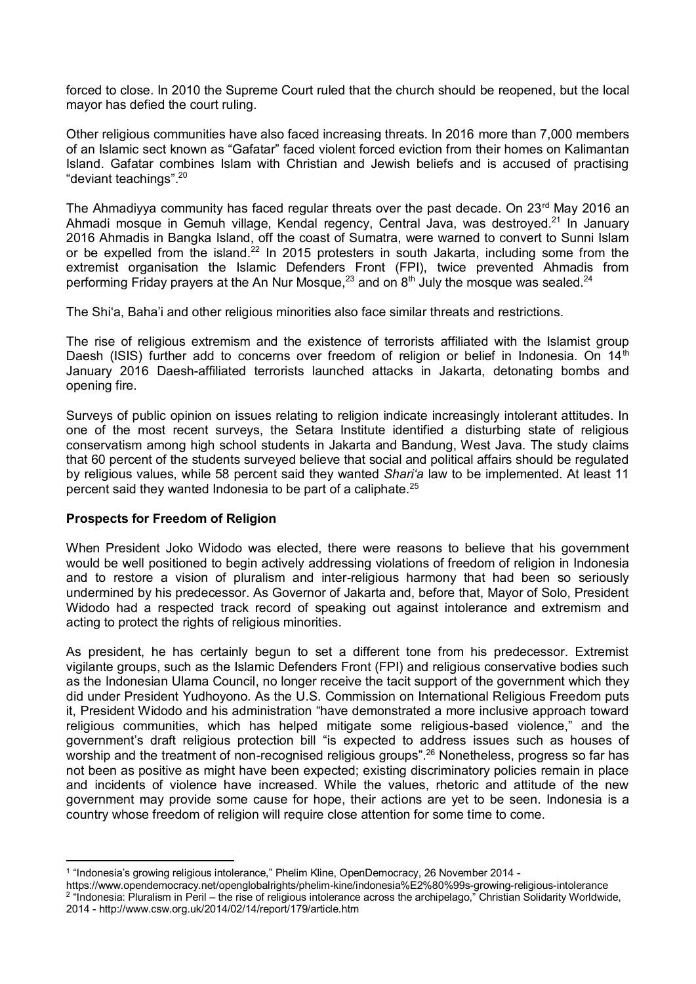forced to close. In 2010 the Supreme Court ruled that the church should be reopened, but the local mayor has defied the court ruling.

Other religious communities have also faced increasing threats. In 2016 more than 7,000 members of an Islamic sect known as "Gafatar" faced violent forced eviction from their homes on Kalimantan Island. Gafatar combines Islam with Christian and Jewish beliefs and is accused of practising "deviant teachings".<sup>20</sup>

The Ahmadiyya community has faced regular threats over the past decade. On  $23<sup>rd</sup>$  May 2016 an Ahmadi mosque in Gemuh village, Kendal regency, Central Java, was destroyed.<sup>21</sup> In January 2016 Ahmadis in Bangka Island, off the coast of Sumatra, were warned to convert to Sunni Islam or be expelled from the island.<sup>22</sup> In 2015 protesters in south Jakarta, including some from the extremist organisation the Islamic Defenders Front (FPI), twice prevented Ahmadis from performing Friday prayers at the An Nur Mosque,<sup>23</sup> and on  $8<sup>th</sup>$  July the mosque was sealed.<sup>24</sup>

The Shi'a, Baha'i and other religious minorities also face similar threats and restrictions.

The rise of religious extremism and the existence of terrorists affiliated with the Islamist group Daesh (ISIS) further add to concerns over freedom of religion or belief in Indonesia. On 14<sup>th</sup> January 2016 Daesh-affiliated terrorists launched attacks in Jakarta, detonating bombs and opening fire.

Surveys of public opinion on issues relating to religion indicate increasingly intolerant attitudes. In one of the most recent surveys, the Setara Institute identified a disturbing state of religious conservatism among high school students in Jakarta and Bandung, West Java. The study claims that 60 percent of the students surveyed believe that social and political affairs should be regulated by religious values, while 58 percent said they wanted *Shari'a* law to be implemented. At least 11 percent said they wanted Indonesia to be part of a caliphate.<sup>25</sup>

## **Prospects for Freedom of Religion**

When President Joko Widodo was elected, there were reasons to believe that his government would be well positioned to begin actively addressing violations of freedom of religion in Indonesia and to restore a vision of pluralism and inter-religious harmony that had been so seriously undermined by his predecessor. As Governor of Jakarta and, before that, Mayor of Solo, President Widodo had a respected track record of speaking out against intolerance and extremism and acting to protect the rights of religious minorities.

As president, he has certainly begun to set a different tone from his predecessor. Extremist vigilante groups, such as the Islamic Defenders Front (FPI) and religious conservative bodies such as the Indonesian Ulama Council, no longer receive the tacit support of the government which they did under President Yudhoyono. As the U.S. Commission on International Religious Freedom puts it, President Widodo and his administration "have demonstrated a more inclusive approach toward religious communities, which has helped mitigate some religious-based violence," and the government's draft religious protection bill "is expected to address issues such as houses of worship and the treatment of non-recognised religious groups".<sup>26</sup> Nonetheless, progress so far has not been as positive as might have been expected; existing discriminatory policies remain in place and incidents of violence have increased. While the values, rhetoric and attitude of the new government may provide some cause for hope, their actions are yet to be seen. Indonesia is a country whose freedom of religion will require close attention for some time to come.

 1 "Indonesia's growing religious intolerance," Phelim Kline, OpenDemocracy, 26 November 2014 -

https://www.opendemocracy.net/openglobalrights/phelim-kine/indonesia%E2%80%99s-growing-religious-intolerance <sup>2</sup> "Indonesia: Pluralism in Peril – the rise of religious intolerance across the archipelago," Christian Solidarity Worldwide, 2014 - http://www.csw.org.uk/2014/02/14/report/179/article.htm